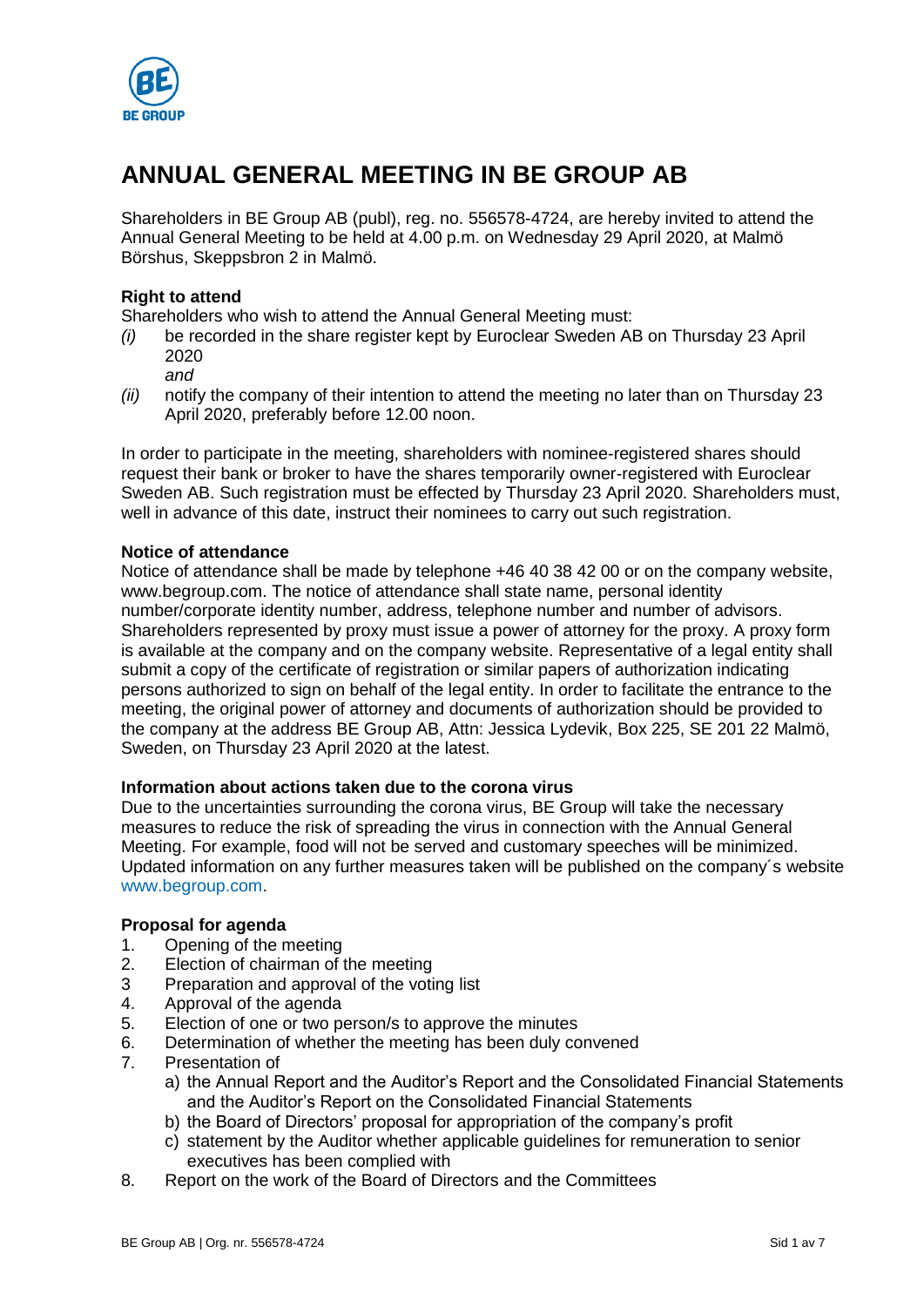

# **ANNUAL GENERAL MEETING IN BE GROUP AB**

Shareholders in BE Group AB (publ), reg. no. 556578-4724, are hereby invited to attend the Annual General Meeting to be held at 4.00 p.m. on Wednesday 29 April 2020, at Malmö Börshus, Skeppsbron 2 in Malmö.

# **Right to attend**

Shareholders who wish to attend the Annual General Meeting must:

- *(i)* be recorded in the share register kept by Euroclear Sweden AB on Thursday 23 April 2020
	- *and*
- *(ii)* notify the company of their intention to attend the meeting no later than on Thursday 23 April 2020, preferably before 12.00 noon.

In order to participate in the meeting, shareholders with nominee-registered shares should request their bank or broker to have the shares temporarily owner-registered with Euroclear Sweden AB. Such registration must be effected by Thursday 23 April 2020. Shareholders must, well in advance of this date, instruct their nominees to carry out such registration.

# **Notice of attendance**

Notice of attendance shall be made by telephone +46 40 38 42 00 or on the company website, www.begroup.com. The notice of attendance shall state name, personal identity number/corporate identity number, address, telephone number and number of advisors. Shareholders represented by proxy must issue a power of attorney for the proxy. A proxy form is available at the company and on the company website. Representative of a legal entity shall submit a copy of the certificate of registration or similar papers of authorization indicating persons authorized to sign on behalf of the legal entity. In order to facilitate the entrance to the meeting, the original power of attorney and documents of authorization should be provided to the company at the address BE Group AB, Attn: Jessica Lydevik, Box 225, SE 201 22 Malmö, Sweden, on Thursday 23 April 2020 at the latest.

# **Information about actions taken due to the corona virus**

Due to the uncertainties surrounding the corona virus, BE Group will take the necessary measures to reduce the risk of spreading the virus in connection with the Annual General Meeting. For example, food will not be served and customary speeches will be minimized. Updated information on any further measures taken will be published on the company´s website [www.begroup.com.](http://www.begroup.com/)

# **Proposal for agenda**

- 1. Opening of the meeting
- 2. Election of chairman of the meeting
- 3 Preparation and approval of the voting list
- 4. Approval of the agenda
- 5. Election of one or two person/s to approve the minutes
- 6. Determination of whether the meeting has been duly convened
- 7. Presentation of
	- a) the Annual Report and the Auditor's Report and the Consolidated Financial Statements and the Auditor's Report on the Consolidated Financial Statements
	- b) the Board of Directors' proposal for appropriation of the company's profit
	- c) statement by the Auditor whether applicable guidelines for remuneration to senior executives has been complied with
- 8. Report on the work of the Board of Directors and the Committees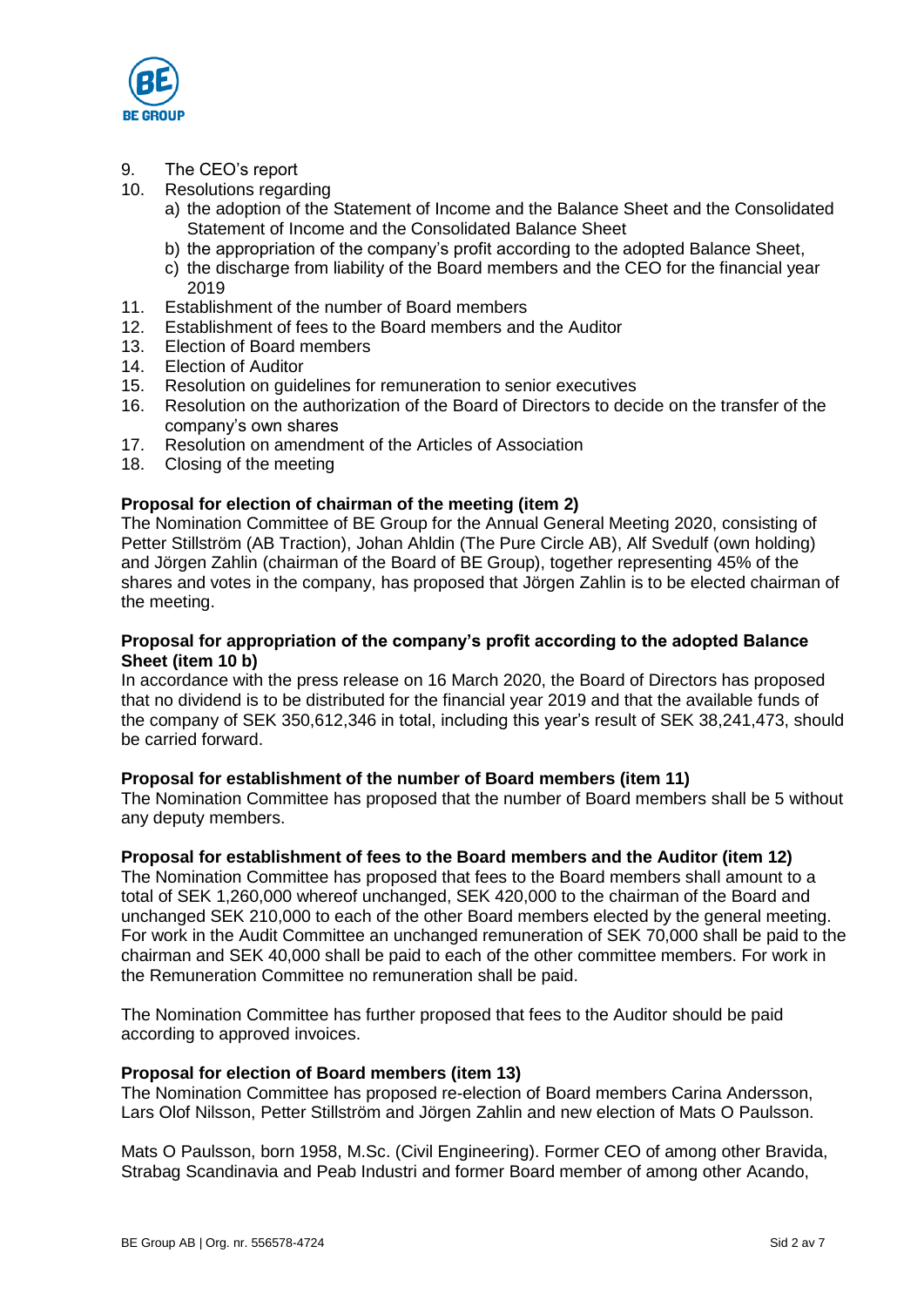

- 9. The CEO's report
- 10. Resolutions regarding
	- a) the adoption of the Statement of Income and the Balance Sheet and the Consolidated Statement of Income and the Consolidated Balance Sheet
	- b) the appropriation of the company's profit according to the adopted Balance Sheet,
	- c) the discharge from liability of the Board members and the CEO for the financial year 2019
- 11. Establishment of the number of Board members
- 12. Establishment of fees to the Board members and the Auditor
- 13. Election of Board members
- 14. Election of Auditor
- 15. Resolution on guidelines for remuneration to senior executives
- 16. Resolution on the authorization of the Board of Directors to decide on the transfer of the company's own shares
- 17. Resolution on amendment of the Articles of Association
- 18. Closing of the meeting

# **Proposal for election of chairman of the meeting (item 2)**

The Nomination Committee of BE Group for the Annual General Meeting 2020, consisting of Petter Stillström (AB Traction), Johan Ahldin (The Pure Circle AB), Alf Svedulf (own holding) and Jörgen Zahlin (chairman of the Board of BE Group), together representing 45% of the shares and votes in the company, has proposed that Jörgen Zahlin is to be elected chairman of the meeting.

# **Proposal for appropriation of the company's profit according to the adopted Balance Sheet (item 10 b)**

In accordance with the press release on 16 March 2020, the Board of Directors has proposed that no dividend is to be distributed for the financial year 2019 and that the available funds of the company of SEK 350,612,346 in total, including this year's result of SEK 38,241,473, should be carried forward.

#### **Proposal for establishment of the number of Board members (item 11)**

The Nomination Committee has proposed that the number of Board members shall be 5 without any deputy members.

#### **Proposal for establishment of fees to the Board members and the Auditor (item 12)**

The Nomination Committee has proposed that fees to the Board members shall amount to a total of SEK 1,260,000 whereof unchanged, SEK 420,000 to the chairman of the Board and unchanged SEK 210,000 to each of the other Board members elected by the general meeting. For work in the Audit Committee an unchanged remuneration of SEK 70,000 shall be paid to the chairman and SEK 40,000 shall be paid to each of the other committee members. For work in the Remuneration Committee no remuneration shall be paid.

The Nomination Committee has further proposed that fees to the Auditor should be paid according to approved invoices.

#### **Proposal for election of Board members (item 13)**

The Nomination Committee has proposed re-election of Board members Carina Andersson, Lars Olof Nilsson, Petter Stillström and Jörgen Zahlin and new election of Mats O Paulsson.

Mats O Paulsson, born 1958, M.Sc. (Civil Engineering). Former CEO of among other Bravida, Strabag Scandinavia and Peab Industri and former Board member of among other Acando,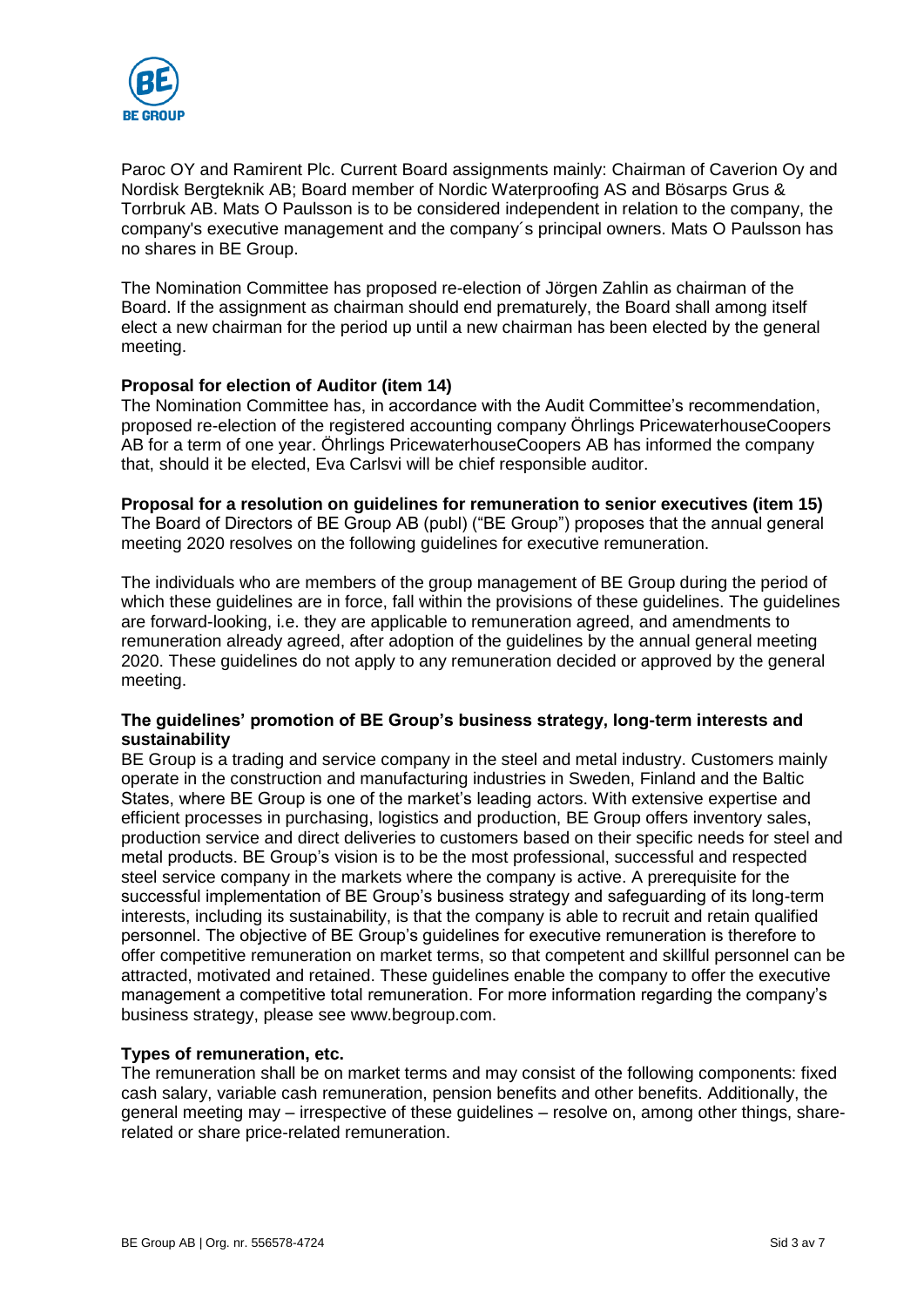

Paroc OY and Ramirent Plc. Current Board assignments mainly: Chairman of Caverion Oy and Nordisk Bergteknik AB; Board member of Nordic Waterproofing AS and Bösarps Grus & Torrbruk AB. Mats O Paulsson is to be considered independent in relation to the company, the company's executive management and the company´s principal owners. Mats O Paulsson has no shares in BE Group.

The Nomination Committee has proposed re-election of Jörgen Zahlin as chairman of the Board. If the assignment as chairman should end prematurely, the Board shall among itself elect a new chairman for the period up until a new chairman has been elected by the general meeting.

# **Proposal for election of Auditor (item 14)**

The Nomination Committee has, in accordance with the Audit Committee's recommendation, proposed re-election of the registered accounting company Öhrlings PricewaterhouseCoopers AB for a term of one year. Öhrlings PricewaterhouseCoopers AB has informed the company that, should it be elected, Eva Carlsvi will be chief responsible auditor.

#### **Proposal for a resolution on guidelines for remuneration to senior executives (item 15)**

The Board of Directors of BE Group AB (publ) ("BE Group") proposes that the annual general meeting 2020 resolves on the following guidelines for executive remuneration.

The individuals who are members of the group management of BE Group during the period of which these guidelines are in force, fall within the provisions of these guidelines. The guidelines are forward-looking, i.e. they are applicable to remuneration agreed, and amendments to remuneration already agreed, after adoption of the guidelines by the annual general meeting 2020. These guidelines do not apply to any remuneration decided or approved by the general meeting.

# **The guidelines' promotion of BE Group's business strategy, long-term interests and sustainability**

BE Group is a trading and service company in the steel and metal industry. Customers mainly operate in the construction and manufacturing industries in Sweden, Finland and the Baltic States, where BE Group is one of the market's leading actors. With extensive expertise and efficient processes in purchasing, logistics and production, BE Group offers inventory sales, production service and direct deliveries to customers based on their specific needs for steel and metal products. BE Group's vision is to be the most professional, successful and respected steel service company in the markets where the company is active. A prerequisite for the successful implementation of BE Group's business strategy and safeguarding of its long-term interests, including its sustainability, is that the company is able to recruit and retain qualified personnel. The objective of BE Group's guidelines for executive remuneration is therefore to offer competitive remuneration on market terms, so that competent and skillful personnel can be attracted, motivated and retained. These guidelines enable the company to offer the executive management a competitive total remuneration. For more information regarding the company's business strategy, please see www.begroup.com.

# **Types of remuneration, etc.**

The remuneration shall be on market terms and may consist of the following components: fixed cash salary, variable cash remuneration, pension benefits and other benefits. Additionally, the general meeting may – irrespective of these guidelines – resolve on, among other things, sharerelated or share price-related remuneration.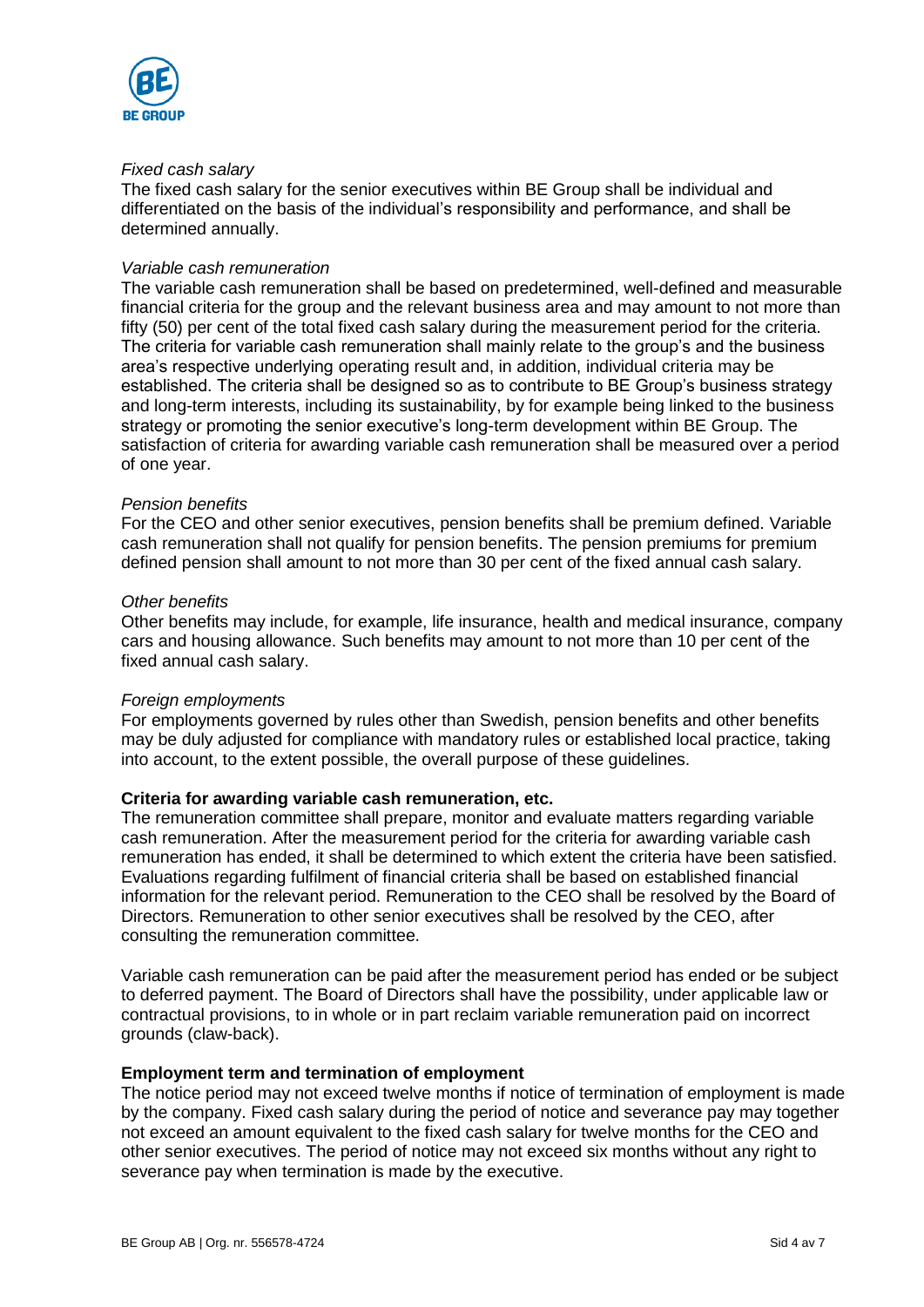

#### *Fixed cash salary*

The fixed cash salary for the senior executives within BE Group shall be individual and differentiated on the basis of the individual's responsibility and performance, and shall be determined annually.

#### *Variable cash remuneration*

The variable cash remuneration shall be based on predetermined, well-defined and measurable financial criteria for the group and the relevant business area and may amount to not more than fifty (50) per cent of the total fixed cash salary during the measurement period for the criteria. The criteria for variable cash remuneration shall mainly relate to the group's and the business area's respective underlying operating result and, in addition, individual criteria may be established. The criteria shall be designed so as to contribute to BE Group's business strategy and long-term interests, including its sustainability, by for example being linked to the business strategy or promoting the senior executive's long-term development within BE Group. The satisfaction of criteria for awarding variable cash remuneration shall be measured over a period of one year.

### *Pension benefits*

For the CEO and other senior executives, pension benefits shall be premium defined. Variable cash remuneration shall not qualify for pension benefits. The pension premiums for premium defined pension shall amount to not more than 30 per cent of the fixed annual cash salary.

#### *Other benefits*

Other benefits may include, for example, life insurance, health and medical insurance, company cars and housing allowance. Such benefits may amount to not more than 10 per cent of the fixed annual cash salary.

#### *Foreign employments*

For employments governed by rules other than Swedish, pension benefits and other benefits may be duly adjusted for compliance with mandatory rules or established local practice, taking into account, to the extent possible, the overall purpose of these guidelines.

# **Criteria for awarding variable cash remuneration, etc.**

The remuneration committee shall prepare, monitor and evaluate matters regarding variable cash remuneration. After the measurement period for the criteria for awarding variable cash remuneration has ended, it shall be determined to which extent the criteria have been satisfied. Evaluations regarding fulfilment of financial criteria shall be based on established financial information for the relevant period. Remuneration to the CEO shall be resolved by the Board of Directors. Remuneration to other senior executives shall be resolved by the CEO, after consulting the remuneration committee.

Variable cash remuneration can be paid after the measurement period has ended or be subject to deferred payment. The Board of Directors shall have the possibility, under applicable law or contractual provisions, to in whole or in part reclaim variable remuneration paid on incorrect grounds (claw-back).

#### **Employment term and termination of employment**

The notice period may not exceed twelve months if notice of termination of employment is made by the company. Fixed cash salary during the period of notice and severance pay may together not exceed an amount equivalent to the fixed cash salary for twelve months for the CEO and other senior executives. The period of notice may not exceed six months without any right to severance pay when termination is made by the executive.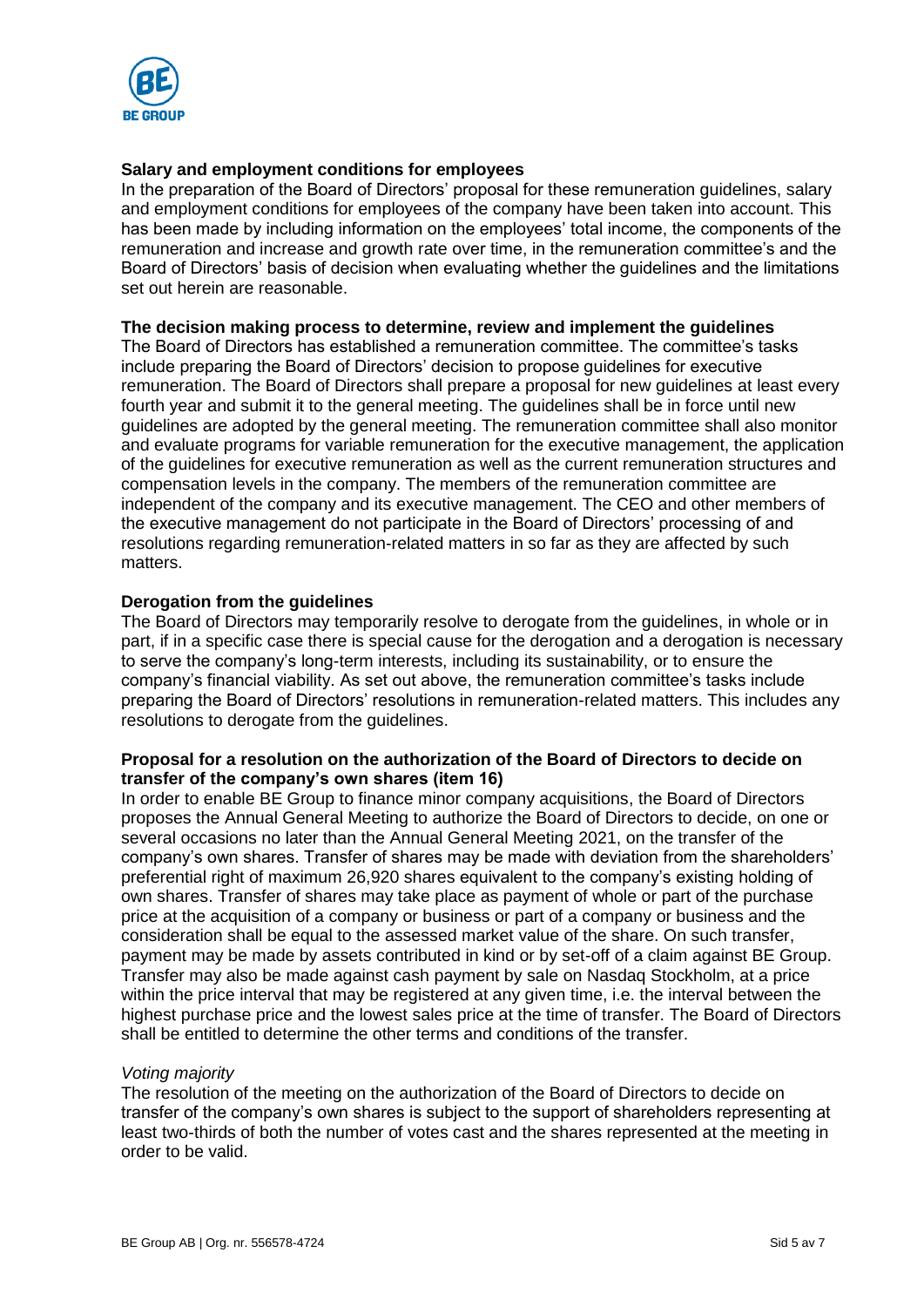

# **Salary and employment conditions for employees**

In the preparation of the Board of Directors' proposal for these remuneration guidelines, salary and employment conditions for employees of the company have been taken into account. This has been made by including information on the employees' total income, the components of the remuneration and increase and growth rate over time, in the remuneration committee's and the Board of Directors' basis of decision when evaluating whether the guidelines and the limitations set out herein are reasonable.

#### **The decision making process to determine, review and implement the guidelines**

The Board of Directors has established a remuneration committee. The committee's tasks include preparing the Board of Directors' decision to propose guidelines for executive remuneration. The Board of Directors shall prepare a proposal for new guidelines at least every fourth year and submit it to the general meeting. The guidelines shall be in force until new guidelines are adopted by the general meeting. The remuneration committee shall also monitor and evaluate programs for variable remuneration for the executive management, the application of the guidelines for executive remuneration as well as the current remuneration structures and compensation levels in the company. The members of the remuneration committee are independent of the company and its executive management. The CEO and other members of the executive management do not participate in the Board of Directors' processing of and resolutions regarding remuneration-related matters in so far as they are affected by such matters.

# **Derogation from the guidelines**

The Board of Directors may temporarily resolve to derogate from the guidelines, in whole or in part, if in a specific case there is special cause for the derogation and a derogation is necessary to serve the company's long-term interests, including its sustainability, or to ensure the company's financial viability. As set out above, the remuneration committee's tasks include preparing the Board of Directors' resolutions in remuneration-related matters. This includes any resolutions to derogate from the guidelines.

# **Proposal for a resolution on the authorization of the Board of Directors to decide on transfer of the company's own shares (item 16)**

In order to enable BE Group to finance minor company acquisitions, the Board of Directors proposes the Annual General Meeting to authorize the Board of Directors to decide, on one or several occasions no later than the Annual General Meeting 2021, on the transfer of the company's own shares. Transfer of shares may be made with deviation from the shareholders' preferential right of maximum 26,920 shares equivalent to the company's existing holding of own shares. Transfer of shares may take place as payment of whole or part of the purchase price at the acquisition of a company or business or part of a company or business and the consideration shall be equal to the assessed market value of the share. On such transfer, payment may be made by assets contributed in kind or by set-off of a claim against BE Group. Transfer may also be made against cash payment by sale on Nasdaq Stockholm, at a price within the price interval that may be registered at any given time, i.e. the interval between the highest purchase price and the lowest sales price at the time of transfer. The Board of Directors shall be entitled to determine the other terms and conditions of the transfer.

#### *Voting majority*

The resolution of the meeting on the authorization of the Board of Directors to decide on transfer of the company's own shares is subject to the support of shareholders representing at least two-thirds of both the number of votes cast and the shares represented at the meeting in order to be valid.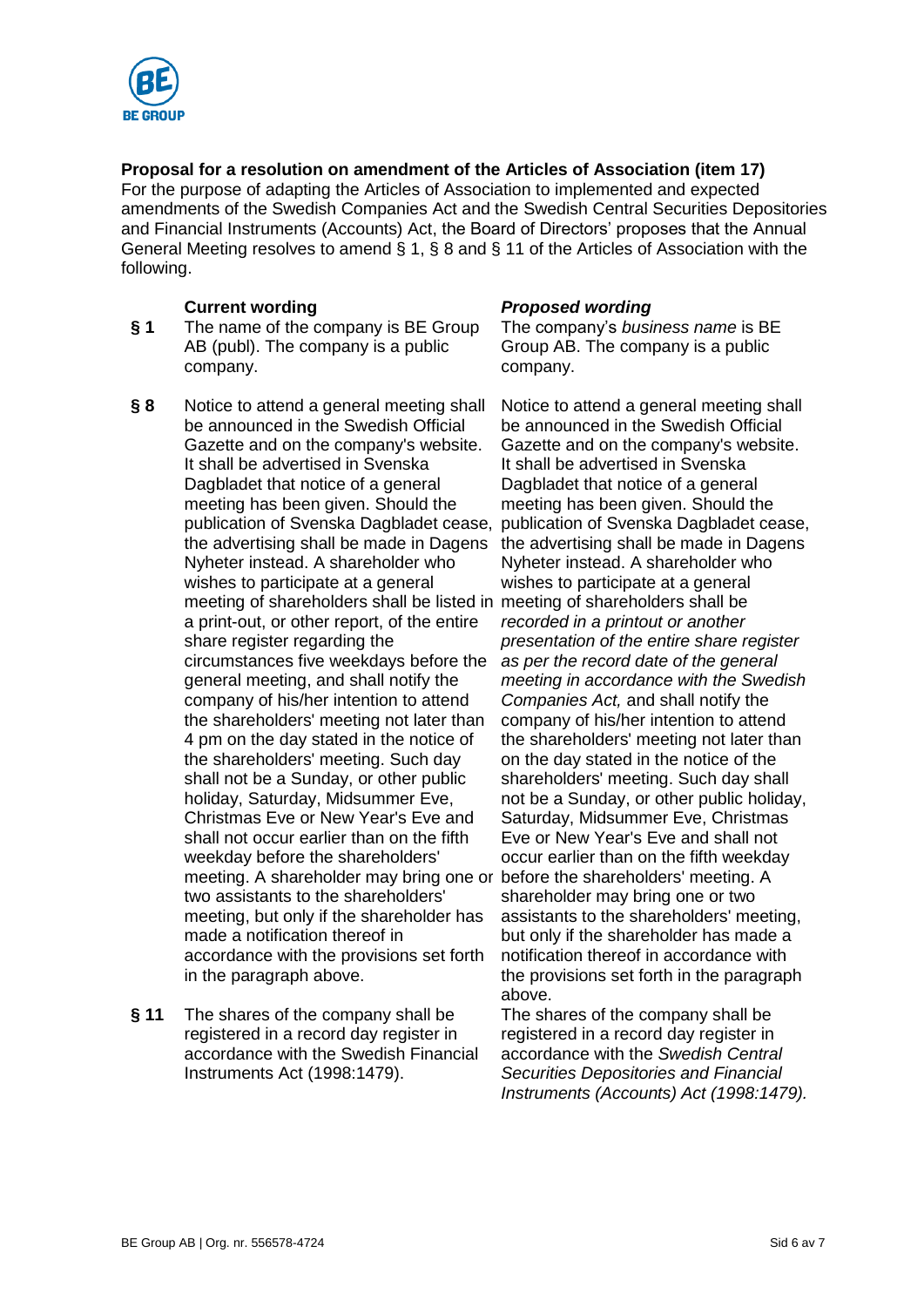

# **Proposal for a resolution on amendment of the Articles of Association (item 17)**

For the purpose of adapting the Articles of Association to implemented and expected amendments of the Swedish Companies Act and the Swedish Central Securities Depositories and Financial Instruments (Accounts) Act, the Board of Directors' proposes that the Annual General Meeting resolves to amend § 1, § 8 and § 11 of the Articles of Association with the following.

- **§ 1** The name of the company is BE Group AB (publ). The company is a public company.
- **§ 8** Notice to attend a general meeting shall be announced in the Swedish Official Gazette and on the company's website. It shall be advertised in Svenska Dagbladet that notice of a general meeting has been given. Should the publication of Svenska Dagbladet cease, the advertising shall be made in Dagens Nyheter instead. A shareholder who wishes to participate at a general meeting of shareholders shall be listed in meeting of shareholders shall be a print-out, or other report, of the entire share register regarding the circumstances five weekdays before the general meeting, and shall notify the company of his/her intention to attend the shareholders' meeting not later than 4 pm on the day stated in the notice of the shareholders' meeting. Such day shall not be a Sunday, or other public holiday, Saturday, Midsummer Eve, Christmas Eve or New Year's Eve and shall not occur earlier than on the fifth weekday before the shareholders' meeting. A shareholder may bring one or two assistants to the shareholders' meeting, but only if the shareholder has made a notification thereof in accordance with the provisions set forth in the paragraph above.
- **§ 11** The shares of the company shall be registered in a record day register in accordance with the Swedish Financial Instruments Act (1998:1479).

# **Current wording** *Proposed wording*

The company's *business name* is BE Group AB. The company is a public company.

Notice to attend a general meeting shall be announced in the Swedish Official Gazette and on the company's website. It shall be advertised in Svenska Dagbladet that notice of a general meeting has been given. Should the publication of Svenska Dagbladet cease, the advertising shall be made in Dagens Nyheter instead. A shareholder who wishes to participate at a general *recorded in a printout or another presentation of the entire share register as per the record date of the general meeting in accordance with the Swedish Companies Act,* and shall notify the company of his/her intention to attend the shareholders' meeting not later than on the day stated in the notice of the shareholders' meeting. Such day shall not be a Sunday, or other public holiday, Saturday, Midsummer Eve, Christmas Eve or New Year's Eve and shall not occur earlier than on the fifth weekday before the shareholders' meeting. A shareholder may bring one or two assistants to the shareholders' meeting, but only if the shareholder has made a notification thereof in accordance with the provisions set forth in the paragraph above.

The shares of the company shall be registered in a record day register in accordance with the *Swedish Central Securities Depositories and Financial Instruments (Accounts) Act (1998:1479).*